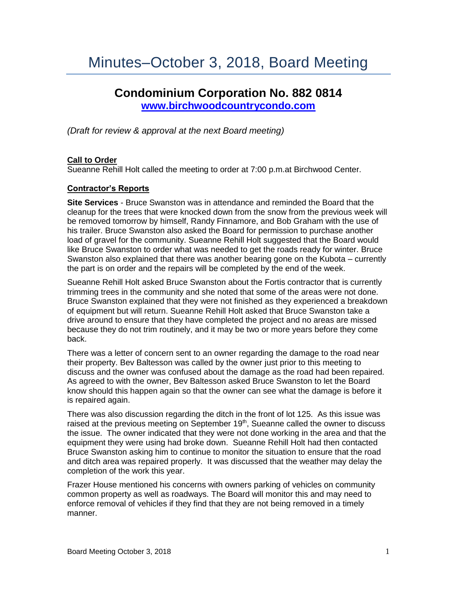# Minutes–October 3, 2018, Board Meeting

# **Condominium Corporation No. 882 0814 [www.birchwoodcountrycondo.com](http://www.birchwoodcountrycondo.com/)**

*(Draft for review & approval at the next Board meeting)*

# **Call to Order**

Sueanne Rehill Holt called the meeting to order at 7:00 p.m.at Birchwood Center.

# **Contractor's Reports**

**Site Services** - Bruce Swanston was in attendance and reminded the Board that the cleanup for the trees that were knocked down from the snow from the previous week will be removed tomorrow by himself, Randy Finnamore, and Bob Graham with the use of his trailer. Bruce Swanston also asked the Board for permission to purchase another load of gravel for the community. Sueanne Rehill Holt suggested that the Board would like Bruce Swanston to order what was needed to get the roads ready for winter. Bruce Swanston also explained that there was another bearing gone on the Kubota – currently the part is on order and the repairs will be completed by the end of the week.

Sueanne Rehill Holt asked Bruce Swanston about the Fortis contractor that is currently trimming trees in the community and she noted that some of the areas were not done. Bruce Swanston explained that they were not finished as they experienced a breakdown of equipment but will return. Sueanne Rehill Holt asked that Bruce Swanston take a drive around to ensure that they have completed the project and no areas are missed because they do not trim routinely, and it may be two or more years before they come back.

There was a letter of concern sent to an owner regarding the damage to the road near their property. Bev Baltesson was called by the owner just prior to this meeting to discuss and the owner was confused about the damage as the road had been repaired. As agreed to with the owner, Bev Baltesson asked Bruce Swanston to let the Board know should this happen again so that the owner can see what the damage is before it is repaired again.

There was also discussion regarding the ditch in the front of lot 125. As this issue was raised at the previous meeting on September  $19<sup>th</sup>$ , Sueanne called the owner to discuss the issue. The owner indicated that they were not done working in the area and that the equipment they were using had broke down. Sueanne Rehill Holt had then contacted Bruce Swanston asking him to continue to monitor the situation to ensure that the road and ditch area was repaired properly. It was discussed that the weather may delay the completion of the work this year.

Frazer House mentioned his concerns with owners parking of vehicles on community common property as well as roadways. The Board will monitor this and may need to enforce removal of vehicles if they find that they are not being removed in a timely manner.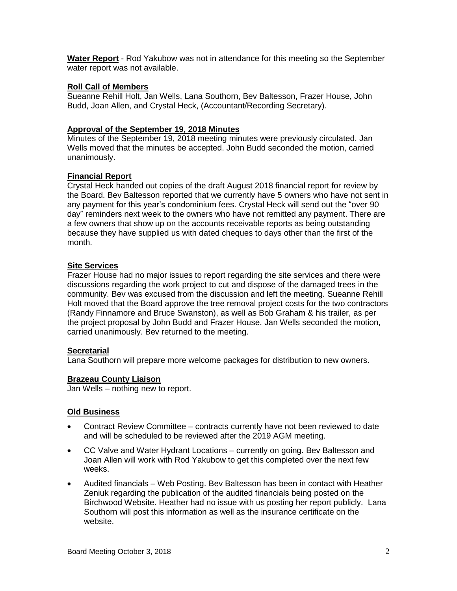**Water Report** - Rod Yakubow was not in attendance for this meeting so the September water report was not available.

#### **Roll Call of Members**

Sueanne Rehill Holt, Jan Wells, Lana Southorn, Bev Baltesson, Frazer House, John Budd, Joan Allen, and Crystal Heck, (Accountant/Recording Secretary).

#### **Approval of the September 19, 2018 Minutes**

Minutes of the September 19, 2018 meeting minutes were previously circulated. Jan Wells moved that the minutes be accepted. John Budd seconded the motion, carried unanimously.

#### **Financial Report**

Crystal Heck handed out copies of the draft August 2018 financial report for review by the Board. Bev Baltesson reported that we currently have 5 owners who have not sent in any payment for this year's condominium fees. Crystal Heck will send out the "over 90 day" reminders next week to the owners who have not remitted any payment. There are a few owners that show up on the accounts receivable reports as being outstanding because they have supplied us with dated cheques to days other than the first of the month.

#### **Site Services**

Frazer House had no major issues to report regarding the site services and there were discussions regarding the work project to cut and dispose of the damaged trees in the community. Bev was excused from the discussion and left the meeting. Sueanne Rehill Holt moved that the Board approve the tree removal project costs for the two contractors (Randy Finnamore and Bruce Swanston), as well as Bob Graham & his trailer, as per the project proposal by John Budd and Frazer House. Jan Wells seconded the motion, carried unanimously. Bev returned to the meeting.

# **Secretarial**

Lana Southorn will prepare more welcome packages for distribution to new owners.

# **Brazeau County Liaison**

Jan Wells – nothing new to report.

# **Old Business**

- Contract Review Committee contracts currently have not been reviewed to date and will be scheduled to be reviewed after the 2019 AGM meeting.
- CC Valve and Water Hydrant Locations currently on going. Bev Baltesson and Joan Allen will work with Rod Yakubow to get this completed over the next few weeks.
- Audited financials Web Posting. Bev Baltesson has been in contact with Heather Zeniuk regarding the publication of the audited financials being posted on the Birchwood Website. Heather had no issue with us posting her report publicly. Lana Southorn will post this information as well as the insurance certificate on the website.